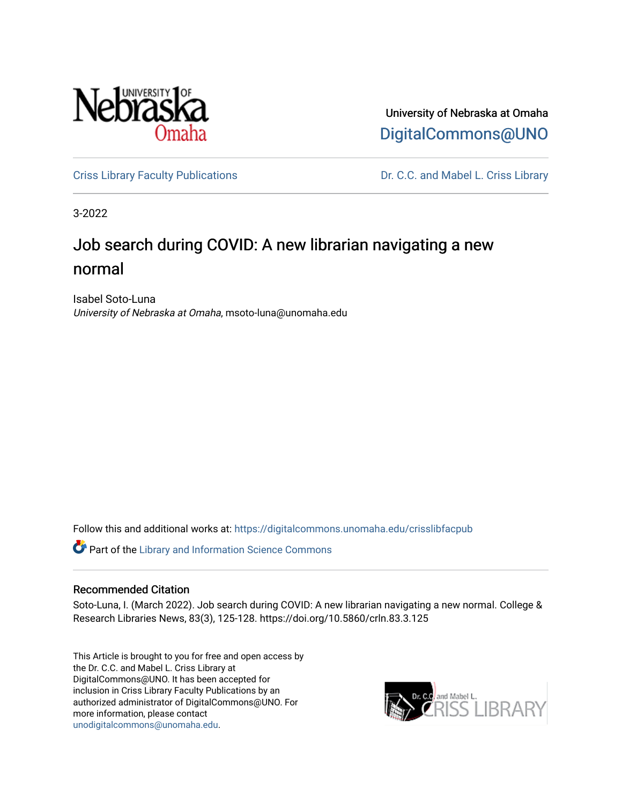

University of Nebraska at Omaha [DigitalCommons@UNO](https://digitalcommons.unomaha.edu/) 

[Criss Library Faculty Publications](https://digitalcommons.unomaha.edu/crisslibfacpub) **Dr. C.C. and Mabel L. Criss Library** 

3-2022

## Job search during COVID: A new librarian navigating a new normal

Isabel Soto-Luna University of Nebraska at Omaha, msoto-luna@unomaha.edu

Follow this and additional works at: [https://digitalcommons.unomaha.edu/crisslibfacpub](https://digitalcommons.unomaha.edu/crisslibfacpub?utm_source=digitalcommons.unomaha.edu%2Fcrisslibfacpub%2F45&utm_medium=PDF&utm_campaign=PDFCoverPages) 

Part of the [Library and Information Science Commons](https://network.bepress.com/hgg/discipline/1018?utm_source=digitalcommons.unomaha.edu%2Fcrisslibfacpub%2F45&utm_medium=PDF&utm_campaign=PDFCoverPages) 

#### Recommended Citation

Soto-Luna, I. (March 2022). Job search during COVID: A new librarian navigating a new normal. College & Research Libraries News, 83(3), 125-128. https://doi.org/10.5860/crln.83.3.125

This Article is brought to you for free and open access by the Dr. C.C. and Mabel L. Criss Library at DigitalCommons@UNO. It has been accepted for inclusion in Criss Library Faculty Publications by an authorized administrator of DigitalCommons@UNO. For more information, please contact [unodigitalcommons@unomaha.edu.](mailto:unodigitalcommons@unomaha.edu)

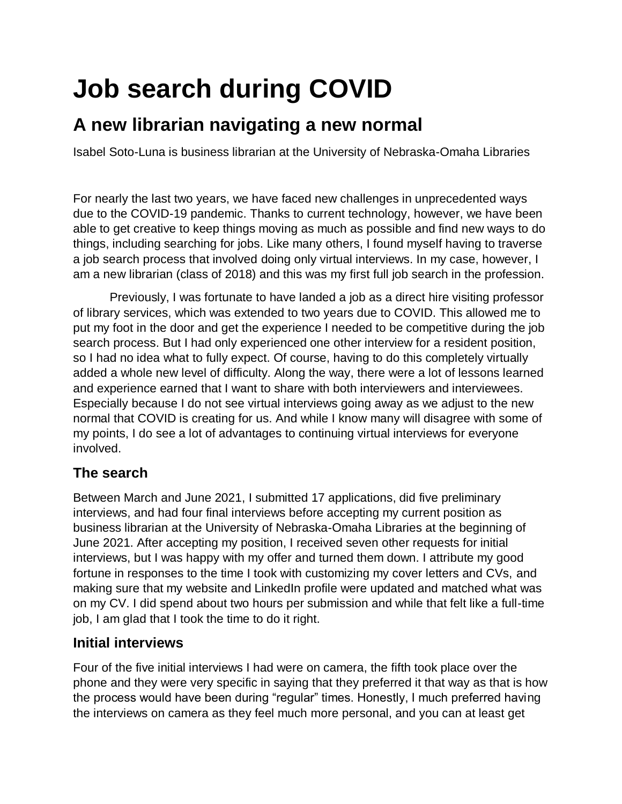# **Job search during COVID**

## **A new librarian navigating a new normal**

Isabel Soto-Luna is business librarian at the University of Nebraska-Omaha Libraries

For nearly the last two years, we have faced new challenges in unprecedented ways due to the COVID-19 pandemic. Thanks to current technology, however, we have been able to get creative to keep things moving as much as possible and find new ways to do things, including searching for jobs. Like many others, I found myself having to traverse a job search process that involved doing only virtual interviews. In my case, however, I am a new librarian (class of 2018) and this was my first full job search in the profession.

Previously, I was fortunate to have landed a job as a direct hire visiting professor of library services, which was extended to two years due to COVID. This allowed me to put my foot in the door and get the experience I needed to be competitive during the job search process. But I had only experienced one other interview for a resident position, so I had no idea what to fully expect. Of course, having to do this completely virtually added a whole new level of difficulty. Along the way, there were a lot of lessons learned and experience earned that I want to share with both interviewers and interviewees. Especially because I do not see virtual interviews going away as we adjust to the new normal that COVID is creating for us. And while I know many will disagree with some of my points, I do see a lot of advantages to continuing virtual interviews for everyone involved.

### **The search**

Between March and June 2021, I submitted 17 applications, did five preliminary interviews, and had four final interviews before accepting my current position as business librarian at the University of Nebraska-Omaha Libraries at the beginning of June 2021. After accepting my position, I received seven other requests for initial interviews, but I was happy with my offer and turned them down. I attribute my good fortune in responses to the time I took with customizing my cover letters and CVs, and making sure that my website and LinkedIn profile were updated and matched what was on my CV. I did spend about two hours per submission and while that felt like a full-time job, I am glad that I took the time to do it right.

#### **Initial interviews**

Four of the five initial interviews I had were on camera, the fifth took place over the phone and they were very specific in saying that they preferred it that way as that is how the process would have been during "regular" times. Honestly, I much preferred having the interviews on camera as they feel much more personal, and you can at least get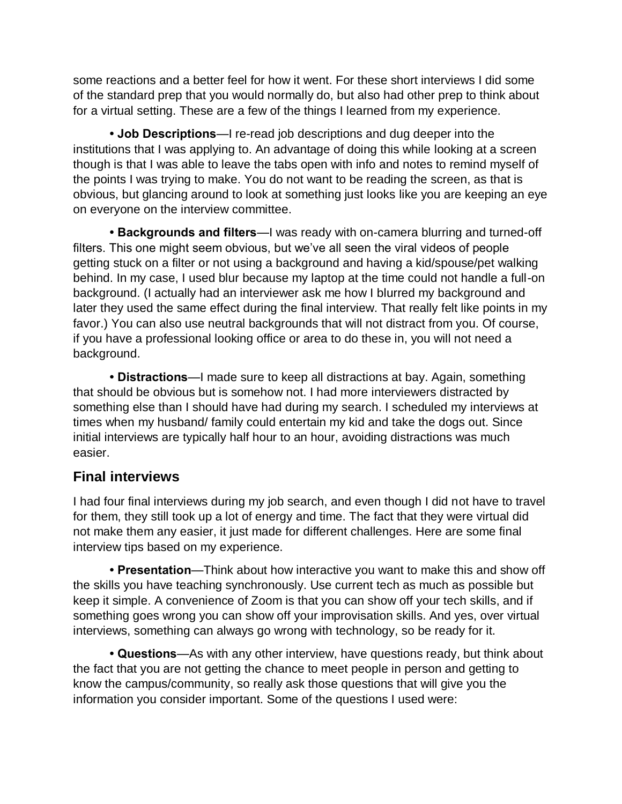some reactions and a better feel for how it went. For these short interviews I did some of the standard prep that you would normally do, but also had other prep to think about for a virtual setting. These are a few of the things I learned from my experience.

**• Job Descriptions**—I re-read job descriptions and dug deeper into the institutions that I was applying to. An advantage of doing this while looking at a screen though is that I was able to leave the tabs open with info and notes to remind myself of the points I was trying to make. You do not want to be reading the screen, as that is obvious, but glancing around to look at something just looks like you are keeping an eye on everyone on the interview committee.

**• Backgrounds and filters**—I was ready with on-camera blurring and turned-off filters. This one might seem obvious, but we've all seen the viral videos of people getting stuck on a filter or not using a background and having a kid/spouse/pet walking behind. In my case, I used blur because my laptop at the time could not handle a full-on background. (I actually had an interviewer ask me how I blurred my background and later they used the same effect during the final interview. That really felt like points in my favor.) You can also use neutral backgrounds that will not distract from you. Of course, if you have a professional looking office or area to do these in, you will not need a background.

**• Distractions**—I made sure to keep all distractions at bay. Again, something that should be obvious but is somehow not. I had more interviewers distracted by something else than I should have had during my search. I scheduled my interviews at times when my husband/ family could entertain my kid and take the dogs out. Since initial interviews are typically half hour to an hour, avoiding distractions was much easier.

#### **Final interviews**

I had four final interviews during my job search, and even though I did not have to travel for them, they still took up a lot of energy and time. The fact that they were virtual did not make them any easier, it just made for different challenges. Here are some final interview tips based on my experience.

**• Presentation**—Think about how interactive you want to make this and show off the skills you have teaching synchronously. Use current tech as much as possible but keep it simple. A convenience of Zoom is that you can show off your tech skills, and if something goes wrong you can show off your improvisation skills. And yes, over virtual interviews, something can always go wrong with technology, so be ready for it.

**• Questions**—As with any other interview, have questions ready, but think about the fact that you are not getting the chance to meet people in person and getting to know the campus/community, so really ask those questions that will give you the information you consider important. Some of the questions I used were: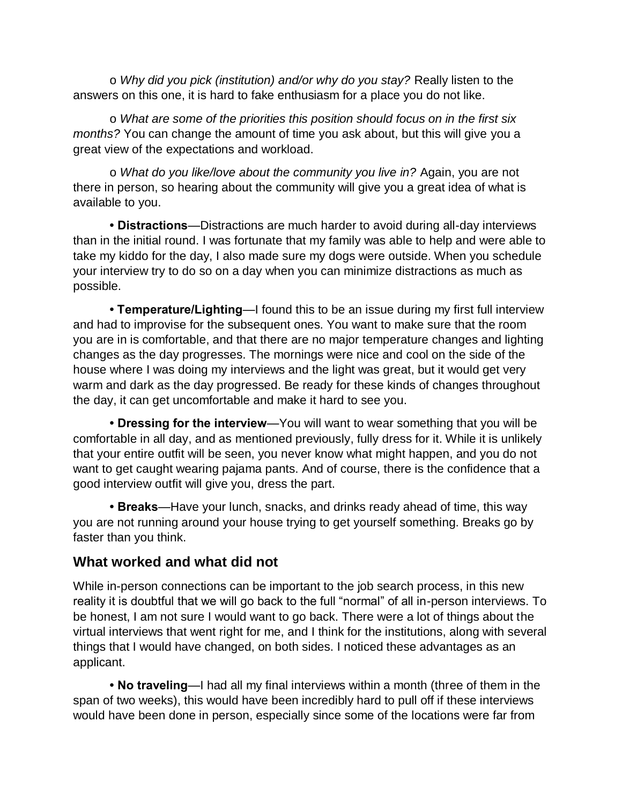o *Why did you pick (institution) and/or why do you stay?* Really listen to the answers on this one, it is hard to fake enthusiasm for a place you do not like.

o *What are some of the priorities this position should focus on in the first six months?* You can change the amount of time you ask about, but this will give you a great view of the expectations and workload.

o *What do you like/love about the community you live in?* Again, you are not there in person, so hearing about the community will give you a great idea of what is available to you.

**• Distractions**—Distractions are much harder to avoid during all-day interviews than in the initial round. I was fortunate that my family was able to help and were able to take my kiddo for the day, I also made sure my dogs were outside. When you schedule your interview try to do so on a day when you can minimize distractions as much as possible.

**• Temperature/Lighting**—I found this to be an issue during my first full interview and had to improvise for the subsequent ones. You want to make sure that the room you are in is comfortable, and that there are no major temperature changes and lighting changes as the day progresses. The mornings were nice and cool on the side of the house where I was doing my interviews and the light was great, but it would get very warm and dark as the day progressed. Be ready for these kinds of changes throughout the day, it can get uncomfortable and make it hard to see you.

**• Dressing for the interview**—You will want to wear something that you will be comfortable in all day, and as mentioned previously, fully dress for it. While it is unlikely that your entire outfit will be seen, you never know what might happen, and you do not want to get caught wearing pajama pants. And of course, there is the confidence that a good interview outfit will give you, dress the part.

**• Breaks**—Have your lunch, snacks, and drinks ready ahead of time, this way you are not running around your house trying to get yourself something. Breaks go by faster than you think.

#### **What worked and what did not**

While in-person connections can be important to the job search process, in this new reality it is doubtful that we will go back to the full "normal" of all in-person interviews. To be honest, I am not sure I would want to go back. There were a lot of things about the virtual interviews that went right for me, and I think for the institutions, along with several things that I would have changed, on both sides. I noticed these advantages as an applicant.

**• No traveling**—I had all my final interviews within a month (three of them in the span of two weeks), this would have been incredibly hard to pull off if these interviews would have been done in person, especially since some of the locations were far from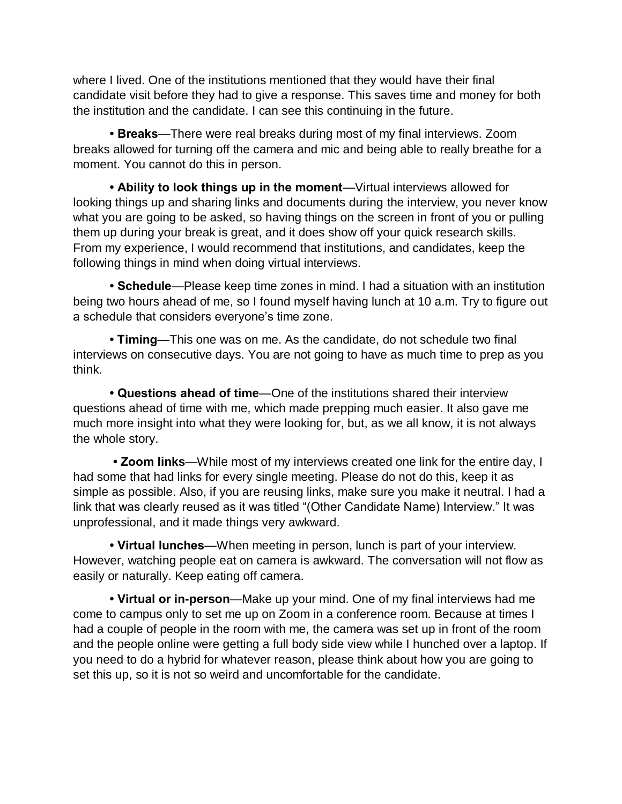where I lived. One of the institutions mentioned that they would have their final candidate visit before they had to give a response. This saves time and money for both the institution and the candidate. I can see this continuing in the future.

**• Breaks**—There were real breaks during most of my final interviews. Zoom breaks allowed for turning off the camera and mic and being able to really breathe for a moment. You cannot do this in person.

**• Ability to look things up in the moment**—Virtual interviews allowed for looking things up and sharing links and documents during the interview, you never know what you are going to be asked, so having things on the screen in front of you or pulling them up during your break is great, and it does show off your quick research skills. From my experience, I would recommend that institutions, and candidates, keep the following things in mind when doing virtual interviews.

**• Schedule**—Please keep time zones in mind. I had a situation with an institution being two hours ahead of me, so I found myself having lunch at 10 a.m. Try to figure out a schedule that considers everyone's time zone.

**• Timing**—This one was on me. As the candidate, do not schedule two final interviews on consecutive days. You are not going to have as much time to prep as you think.

**• Questions ahead of time**—One of the institutions shared their interview questions ahead of time with me, which made prepping much easier. It also gave me much more insight into what they were looking for, but, as we all know, it is not always the whole story.

**• Zoom links**—While most of my interviews created one link for the entire day, I had some that had links for every single meeting. Please do not do this, keep it as simple as possible. Also, if you are reusing links, make sure you make it neutral. I had a link that was clearly reused as it was titled "(Other Candidate Name) Interview." It was unprofessional, and it made things very awkward.

**• Virtual lunches**—When meeting in person, lunch is part of your interview. However, watching people eat on camera is awkward. The conversation will not flow as easily or naturally. Keep eating off camera.

**• Virtual or in-person**—Make up your mind. One of my final interviews had me come to campus only to set me up on Zoom in a conference room. Because at times I had a couple of people in the room with me, the camera was set up in front of the room and the people online were getting a full body side view while I hunched over a laptop. If you need to do a hybrid for whatever reason, please think about how you are going to set this up, so it is not so weird and uncomfortable for the candidate.